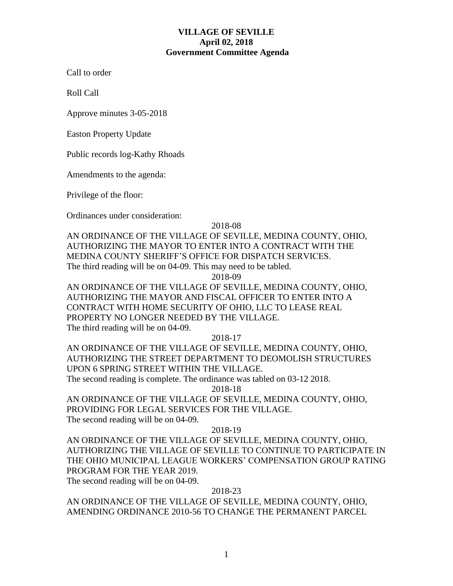## **VILLAGE OF SEVILLE April 02, 2018 Government Committee Agenda**

Call to order

Roll Call

Approve minutes 3-05-2018

Easton Property Update

Public records log-Kathy Rhoads

Amendments to the agenda:

Privilege of the floor:

Ordinances under consideration:

2018-08

AN ORDINANCE OF THE VILLAGE OF SEVILLE, MEDINA COUNTY, OHIO, AUTHORIZING THE MAYOR TO ENTER INTO A CONTRACT WITH THE MEDINA COUNTY SHERIFF'S OFFICE FOR DISPATCH SERVICES. The third reading will be on 04-09. This may need to be tabled.

2018-09

AN ORDINANCE OF THE VILLAGE OF SEVILLE, MEDINA COUNTY, OHIO, AUTHORIZING THE MAYOR AND FISCAL OFFICER TO ENTER INTO A CONTRACT WITH HOME SECURITY OF OHIO, LLC TO LEASE REAL PROPERTY NO LONGER NEEDED BY THE VILLAGE. The third reading will be on 04-09.

2018-17

AN ORDINANCE OF THE VILLAGE OF SEVILLE, MEDINA COUNTY, OHIO, AUTHORIZING THE STREET DEPARTMENT TO DEOMOLISH STRUCTURES UPON 6 SPRING STREET WITHIN THE VILLAGE.

The second reading is complete. The ordinance was tabled on 03-12 2018.

2018-18

AN ORDINANCE OF THE VILLAGE OF SEVILLE, MEDINA COUNTY, OHIO, PROVIDING FOR LEGAL SERVICES FOR THE VILLAGE. The second reading will be on 04-09.

2018-19

AN ORDINANCE OF THE VILLAGE OF SEVILLE, MEDINA COUNTY, OHIO, AUTHORIZING THE VILLAGE OF SEVILLE TO CONTINUE TO PARTICIPATE IN THE OHIO MUNICIPAL LEAGUE WORKERS' COMPENSATION GROUP RATING PROGRAM FOR THE YEAR 2019.

The second reading will be on 04-09.

## 2018-23

AN ORDINANCE OF THE VILLAGE OF SEVILLE, MEDINA COUNTY, OHIO, AMENDING ORDINANCE 2010-56 TO CHANGE THE PERMANENT PARCEL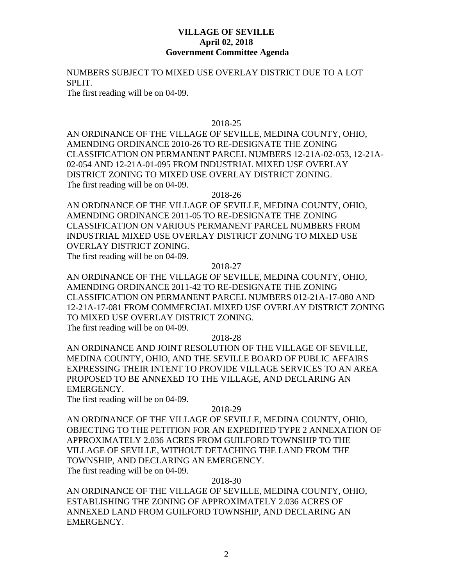## **VILLAGE OF SEVILLE April 02, 2018 Government Committee Agenda**

NUMBERS SUBJECT TO MIXED USE OVERLAY DISTRICT DUE TO A LOT SPLIT.

The first reading will be on 04-09.

### 2018-25

AN ORDINANCE OF THE VILLAGE OF SEVILLE, MEDINA COUNTY, OHIO, AMENDING ORDINANCE 2010-26 TO RE-DESIGNATE THE ZONING CLASSIFICATION ON PERMANENT PARCEL NUMBERS 12-21A-02-053, 12-21A-02-054 AND 12-21A-01-095 FROM INDUSTRIAL MIXED USE OVERLAY DISTRICT ZONING TO MIXED USE OVERLAY DISTRICT ZONING. The first reading will be on 04-09.

2018-26

AN ORDINANCE OF THE VILLAGE OF SEVILLE, MEDINA COUNTY, OHIO, AMENDING ORDINANCE 2011-05 TO RE-DESIGNATE THE ZONING CLASSIFICATION ON VARIOUS PERMANENT PARCEL NUMBERS FROM INDUSTRIAL MIXED USE OVERLAY DISTRICT ZONING TO MIXED USE OVERLAY DISTRICT ZONING. The first reading will be on 04-09.

2018-27

AN ORDINANCE OF THE VILLAGE OF SEVILLE, MEDINA COUNTY, OHIO, AMENDING ORDINANCE 2011-42 TO RE-DESIGNATE THE ZONING CLASSIFICATION ON PERMANENT PARCEL NUMBERS 012-21A-17-080 AND 12-21A-17-081 FROM COMMERCIAL MIXED USE OVERLAY DISTRICT ZONING TO MIXED USE OVERLAY DISTRICT ZONING. The first reading will be on 04-09.

2018-28

AN ORDINANCE AND JOINT RESOLUTION OF THE VILLAGE OF SEVILLE, MEDINA COUNTY, OHIO, AND THE SEVILLE BOARD OF PUBLIC AFFAIRS EXPRESSING THEIR INTENT TO PROVIDE VILLAGE SERVICES TO AN AREA PROPOSED TO BE ANNEXED TO THE VILLAGE, AND DECLARING AN EMERGENCY.

The first reading will be on 04-09.

#### 2018-29

AN ORDINANCE OF THE VILLAGE OF SEVILLE, MEDINA COUNTY, OHIO, OBJECTING TO THE PETITION FOR AN EXPEDITED TYPE 2 ANNEXATION OF APPROXIMATELY 2.036 ACRES FROM GUILFORD TOWNSHIP TO THE VILLAGE OF SEVILLE, WITHOUT DETACHING THE LAND FROM THE TOWNSHIP, AND DECLARING AN EMERGENCY. The first reading will be on 04-09.

2018-30

AN ORDINANCE OF THE VILLAGE OF SEVILLE, MEDINA COUNTY, OHIO, ESTABLISHING THE ZONING OF APPROXIMATELY 2.036 ACRES OF ANNEXED LAND FROM GUILFORD TOWNSHIP, AND DECLARING AN EMERGENCY.